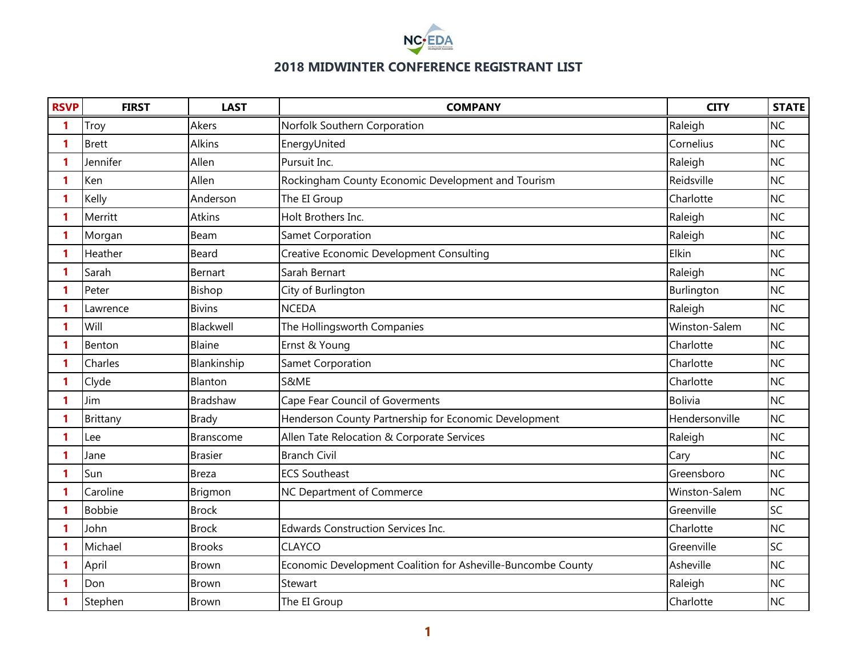

| <b>RSVP</b> | <b>FIRST</b>  | <b>LAST</b>     | <b>COMPANY</b>                                               | <b>CITY</b>    | <b>STATE</b> |
|-------------|---------------|-----------------|--------------------------------------------------------------|----------------|--------------|
| 1           | Troy          | Akers           | Norfolk Southern Corporation                                 | Raleigh        | <b>NC</b>    |
| 1           | <b>Brett</b>  | Alkins          | EnergyUnited                                                 | Cornelius      | <b>NC</b>    |
| 1           | Jennifer      | Allen           | Pursuit Inc.                                                 | Raleigh        | <b>NC</b>    |
| 1           | Ken           | Allen           | Rockingham County Economic Development and Tourism           | Reidsville     | <b>NC</b>    |
| 1           | Kelly         | Anderson        | The EI Group                                                 | Charlotte      | <b>NC</b>    |
| 1           | Merritt       | <b>Atkins</b>   | Holt Brothers Inc.                                           | Raleigh        | <b>NC</b>    |
| 1           | Morgan        | Beam            | Samet Corporation                                            | Raleigh        | <b>NC</b>    |
| 1           | Heather       | Beard           | Creative Economic Development Consulting                     | Elkin          | <b>NC</b>    |
| 1           | Sarah         | Bernart         | Sarah Bernart                                                | Raleigh        | <b>NC</b>    |
| 1           | Peter         | Bishop          | City of Burlington                                           | Burlington     | <b>NC</b>    |
| 1           | Lawrence      | <b>Bivins</b>   | <b>NCEDA</b>                                                 | Raleigh        | <b>NC</b>    |
| 1           | Will          | Blackwell       | The Hollingsworth Companies                                  | Winston-Salem  | <b>NC</b>    |
| 1           | Benton        | Blaine          | Ernst & Young                                                | Charlotte      | <b>NC</b>    |
| 1           | Charles       | Blankinship     | <b>Samet Corporation</b>                                     | Charlotte      | <b>NC</b>    |
| 1           | Clyde         | Blanton         | S&ME                                                         | Charlotte      | <b>NC</b>    |
| 1           | Jim           | <b>Bradshaw</b> | Cape Fear Council of Goverments                              | Bolivia        | <b>NC</b>    |
| 1           | Brittany      | <b>Brady</b>    | Henderson County Partnership for Economic Development        | Hendersonville | <b>NC</b>    |
| 1           | Lee           | Branscome       | Allen Tate Relocation & Corporate Services                   | Raleigh        | <b>NC</b>    |
|             | Jane          | <b>Brasier</b>  | <b>Branch Civil</b>                                          | Cary           | <b>NC</b>    |
| 1           | Sun           | <b>Breza</b>    | <b>ECS Southeast</b>                                         | Greensboro     | <b>NC</b>    |
| 1           | Caroline      | Brigmon         | NC Department of Commerce                                    | Winston-Salem  | <b>NC</b>    |
|             | <b>Bobbie</b> | <b>Brock</b>    |                                                              | Greenville     | SC           |
| 1           | John          | <b>Brock</b>    | <b>Edwards Construction Services Inc.</b>                    | Charlotte      | <b>NC</b>    |
| 1           | Michael       | <b>Brooks</b>   | <b>CLAYCO</b>                                                | Greenville     | SC           |
| 1           | April         | Brown           | Economic Development Coalition for Asheville-Buncombe County | Asheville      | <b>NC</b>    |
| 1           | Don           | <b>Brown</b>    | Stewart                                                      | Raleigh        | <b>NC</b>    |
|             | Stephen       | Brown           | The EI Group                                                 | Charlotte      | <b>NC</b>    |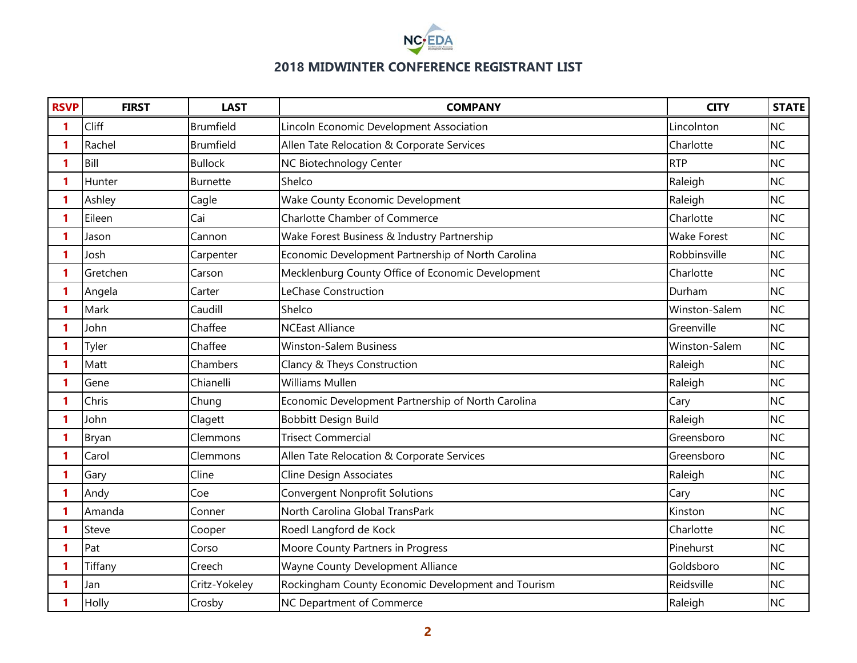

| <b>RSVP</b> | <b>FIRST</b> | <b>LAST</b>      | <b>COMPANY</b>                                     | <b>CITY</b>        | <b>STATE</b> |
|-------------|--------------|------------------|----------------------------------------------------|--------------------|--------------|
| 1           | Cliff        | <b>Brumfield</b> | Lincoln Economic Development Association           | Lincolnton         | <b>NC</b>    |
| 1           | Rachel       | <b>Brumfield</b> | Allen Tate Relocation & Corporate Services         | Charlotte          | <b>NC</b>    |
| 1           | Bill         | <b>Bullock</b>   | NC Biotechnology Center                            | <b>RTP</b>         | <b>NC</b>    |
| 1           | Hunter       | <b>Burnette</b>  | Shelco                                             | Raleigh            | <b>NC</b>    |
| 1           | Ashley       | Cagle            | Wake County Economic Development                   | Raleigh            | <b>NC</b>    |
|             | Eileen       | Cai              | <b>Charlotte Chamber of Commerce</b>               | Charlotte          | <b>NC</b>    |
| 1           | Jason        | Cannon           | Wake Forest Business & Industry Partnership        | <b>Wake Forest</b> | <b>NC</b>    |
| 1           | Josh         | Carpenter        | Economic Development Partnership of North Carolina | Robbinsville       | <b>NC</b>    |
| 1           | Gretchen     | Carson           | Mecklenburg County Office of Economic Development  | Charlotte          | <b>NC</b>    |
|             | Angela       | Carter           | LeChase Construction                               | Durham             | <b>NC</b>    |
| 1           | Mark         | Caudill          | Shelco                                             | Winston-Salem      | <b>NC</b>    |
| 1           | John         | Chaffee          | <b>NCEast Alliance</b>                             | Greenville         | <b>NC</b>    |
|             | Tyler        | Chaffee          | <b>Winston-Salem Business</b>                      | Winston-Salem      | <b>NC</b>    |
| 1           | Matt         | Chambers         | Clancy & Theys Construction                        | Raleigh            | <b>NC</b>    |
|             | Gene         | Chianelli        | <b>Williams Mullen</b>                             | Raleigh            | <b>NC</b>    |
|             | Chris        | Chung            | Economic Development Partnership of North Carolina | Cary               | <b>NC</b>    |
| 1           | John         | Clagett          | <b>Bobbitt Design Build</b>                        | Raleigh            | <b>NC</b>    |
|             | Bryan        | Clemmons         | <b>Trisect Commercial</b>                          | Greensboro         | <b>NC</b>    |
|             | Carol        | Clemmons         | Allen Tate Relocation & Corporate Services         | Greensboro         | <b>NC</b>    |
| 1           | Gary         | Cline            | <b>Cline Design Associates</b>                     | Raleigh            | <b>NC</b>    |
|             | Andy         | Coe              | <b>Convergent Nonprofit Solutions</b>              | Cary               | <b>NC</b>    |
|             | Amanda       | Conner           | North Carolina Global TransPark                    | Kinston            | <b>NC</b>    |
| 1           | Steve        | Cooper           | Roedl Langford de Kock                             | Charlotte          | <b>NC</b>    |
|             | Pat          | Corso            | Moore County Partners in Progress                  | Pinehurst          | <b>NC</b>    |
|             | Tiffany      | Creech           | Wayne County Development Alliance                  | Goldsboro          | <b>NC</b>    |
| 1           | Jan          | Critz-Yokeley    | Rockingham County Economic Development and Tourism | Reidsville         | <b>NC</b>    |
|             | Holly        | Crosby           | NC Department of Commerce                          | Raleigh            | <b>NC</b>    |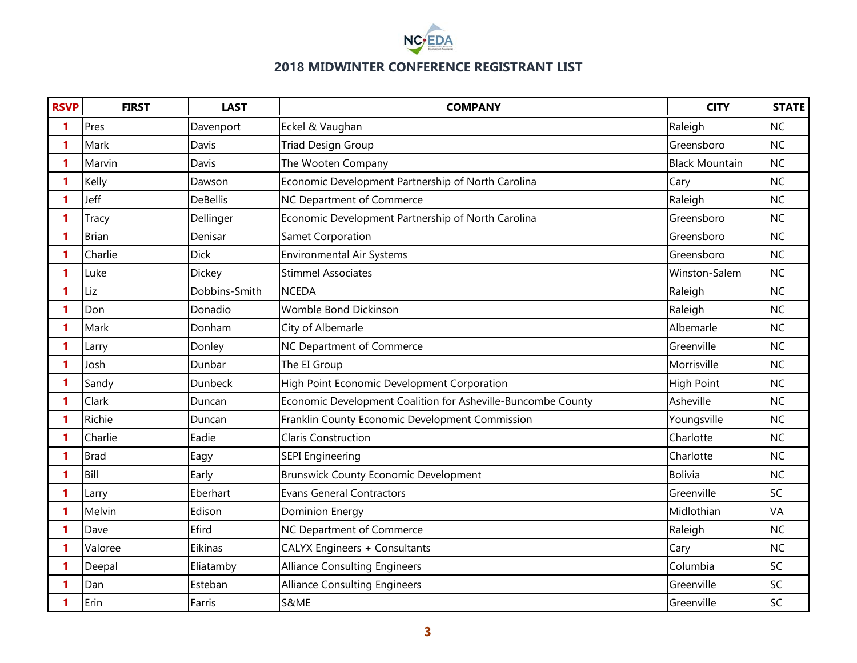

| <b>RSVP</b> | <b>FIRST</b> | <b>LAST</b>     | <b>COMPANY</b>                                               | <b>CITY</b>           | <b>STATE</b> |
|-------------|--------------|-----------------|--------------------------------------------------------------|-----------------------|--------------|
| 1           | Pres         | Davenport       | Eckel & Vaughan                                              | Raleigh               | <b>NC</b>    |
| 1           | Mark         | Davis           | <b>Triad Design Group</b>                                    | Greensboro            | <b>NC</b>    |
| 1           | Marvin       | Davis           | The Wooten Company                                           | <b>Black Mountain</b> | <b>NC</b>    |
| 1           | Kelly        | Dawson          | Economic Development Partnership of North Carolina           | Cary                  | <b>NC</b>    |
| 1           | Jeff         | <b>DeBellis</b> | NC Department of Commerce                                    | Raleigh               | <b>NC</b>    |
| 1           | Tracy        | Dellinger       | Economic Development Partnership of North Carolina           | Greensboro            | <b>NC</b>    |
|             | <b>Brian</b> | Denisar         | Samet Corporation                                            | Greensboro            | <b>NC</b>    |
| 1           | Charlie      | <b>Dick</b>     | <b>Environmental Air Systems</b>                             | Greensboro            | <b>NC</b>    |
| 1           | Luke         | <b>Dickey</b>   | <b>Stimmel Associates</b>                                    | Winston-Salem         | <b>NC</b>    |
| 1           | Liz          | Dobbins-Smith   | <b>NCEDA</b>                                                 | Raleigh               | <b>NC</b>    |
| 1           | Don          | Donadio         | Womble Bond Dickinson                                        | Raleigh               | <b>NC</b>    |
| 1           | Mark         | Donham          | City of Albemarle                                            | Albemarle             | <b>NC</b>    |
| 1           | Larry        | Donley          | NC Department of Commerce                                    | Greenville            | <b>NC</b>    |
| 1           | Josh         | Dunbar          | The EI Group                                                 | Morrisville           | <b>NC</b>    |
| 1           | Sandy        | Dunbeck         | High Point Economic Development Corporation                  | <b>High Point</b>     | <b>NC</b>    |
| 1           | Clark        | Duncan          | Economic Development Coalition for Asheville-Buncombe County | Asheville             | <b>NC</b>    |
| 1           | Richie       | Duncan          | Franklin County Economic Development Commission              | Youngsville           | <b>NC</b>    |
| 1           | Charlie      | Eadie           | <b>Claris Construction</b>                                   | Charlotte             | <b>NC</b>    |
|             | <b>Brad</b>  | Eagy            | <b>SEPI Engineering</b>                                      | Charlotte             | <b>NC</b>    |
| 1           | Bill         | Early           | <b>Brunswick County Economic Development</b>                 | Bolivia               | <b>NC</b>    |
| 1           | Larry        | Eberhart        | <b>Evans General Contractors</b>                             | Greenville            | SC           |
|             | Melvin       | Edison          | Dominion Energy                                              | Midlothian            | VA           |
| 1           | Dave         | Efird           | NC Department of Commerce                                    | Raleigh               | <b>NC</b>    |
| 1           | Valoree      | Eikinas         | CALYX Engineers + Consultants                                | Cary                  | <b>NC</b>    |
|             | Deepal       | Eliatamby       | <b>Alliance Consulting Engineers</b>                         | Columbia              | SC           |
| 1           | Dan          | Esteban         | <b>Alliance Consulting Engineers</b>                         | Greenville            | SC           |
|             | Erin         | Farris          | S&ME                                                         | Greenville            | SC           |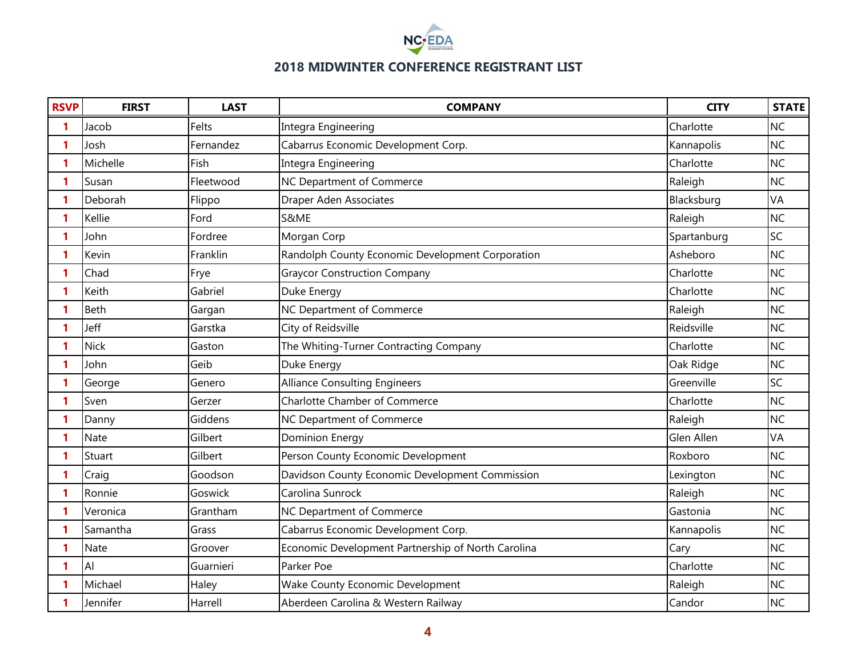

| <b>RSVP</b>  | <b>FIRST</b> | <b>LAST</b> | <b>COMPANY</b>                                     | <b>CITY</b> | <b>STATE</b> |
|--------------|--------------|-------------|----------------------------------------------------|-------------|--------------|
| 1            | Jacob        | Felts       | Integra Engineering                                | Charlotte   | <b>NC</b>    |
| 1            | Josh         | Fernandez   | Cabarrus Economic Development Corp.                | Kannapolis  | <b>NC</b>    |
| 1            | Michelle     | Fish        | Integra Engineering                                | Charlotte   | <b>NC</b>    |
| 1            | Susan        | Fleetwood   | NC Department of Commerce                          | Raleigh     | <b>NC</b>    |
| 1            | Deborah      | Flippo      | <b>Draper Aden Associates</b>                      | Blacksburg  | VA           |
| 1            | Kellie       | Ford        | S&ME                                               | Raleigh     | <b>NC</b>    |
| 1            | John         | Fordree     | Morgan Corp                                        | Spartanburg | SC           |
| 1            | Kevin        | Franklin    | Randolph County Economic Development Corporation   | Asheboro    | <b>NC</b>    |
| 1            | Chad         | Frye        | <b>Graycor Construction Company</b>                | Charlotte   | <b>NC</b>    |
| 1            | Keith        | Gabriel     | Duke Energy                                        | Charlotte   | <b>NC</b>    |
| 1            | Beth         | Gargan      | NC Department of Commerce                          | Raleigh     | <b>NC</b>    |
| 1            | Jeff         | Garstka     | City of Reidsville                                 | Reidsville  | <b>NC</b>    |
| 1            | <b>Nick</b>  | Gaston      | The Whiting-Turner Contracting Company             | Charlotte   | <b>NC</b>    |
| 1            | John         | Geib        | Duke Energy                                        | Oak Ridge   | <b>NC</b>    |
| 1            | George       | Genero      | <b>Alliance Consulting Engineers</b>               | Greenville  | SC           |
| 1            | Sven         | Gerzer      | <b>Charlotte Chamber of Commerce</b>               | Charlotte   | <b>NC</b>    |
| 1            | Danny        | Giddens     | NC Department of Commerce                          | Raleigh     | <b>NC</b>    |
| 1            | <b>Nate</b>  | Gilbert     | <b>Dominion Energy</b>                             | Glen Allen  | VA           |
| 1            | Stuart       | Gilbert     | Person County Economic Development                 | Roxboro     | <b>NC</b>    |
| 1            | Craig        | Goodson     | Davidson County Economic Development Commission    | Lexington   | <b>NC</b>    |
| 1            | Ronnie       | Goswick     | Carolina Sunrock                                   | Raleigh     | <b>NC</b>    |
| 1            | Veronica     | Grantham    | NC Department of Commerce                          | Gastonia    | <b>NC</b>    |
| $\mathbf{1}$ | Samantha     | Grass       | Cabarrus Economic Development Corp.                | Kannapolis  | <b>NC</b>    |
| 1            | Nate         | Groover     | Economic Development Partnership of North Carolina | Cary        | <b>NC</b>    |
| 1            | <b>Al</b>    | Guarnieri   | Parker Poe                                         | Charlotte   | <b>NC</b>    |
| 1            | Michael      | Haley       | Wake County Economic Development                   | Raleigh     | <b>NC</b>    |
| 1            | Jennifer     | Harrell     | Aberdeen Carolina & Western Railway                | Candor      | <b>NC</b>    |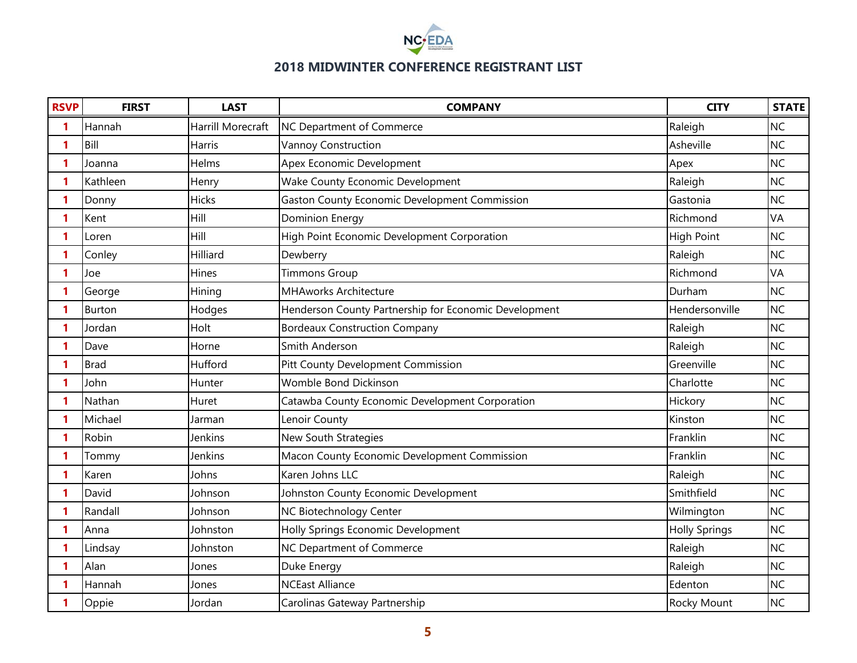

| <b>RSVP</b> | <b>FIRST</b>  | <b>LAST</b>              | <b>COMPANY</b>                                        | <b>CITY</b>          | <b>STATE</b> |
|-------------|---------------|--------------------------|-------------------------------------------------------|----------------------|--------------|
| 1           | Hannah        | <b>Harrill Morecraft</b> | NC Department of Commerce                             | Raleigh              | <b>NC</b>    |
| 1           | Bill          | Harris                   | <b>Vannoy Construction</b>                            | Asheville            | <b>NC</b>    |
| 1           | Joanna        | Helms                    | Apex Economic Development                             | Apex                 | <b>NC</b>    |
| 1           | Kathleen      | Henry                    | Wake County Economic Development                      | Raleigh              | <b>NC</b>    |
| 1           | Donny         | Hicks                    | Gaston County Economic Development Commission         | Gastonia             | <b>NC</b>    |
| 1           | Kent          | Hill                     | <b>Dominion Energy</b>                                | Richmond             | VA           |
| 1           | Loren         | Hill                     | High Point Economic Development Corporation           | <b>High Point</b>    | <b>NC</b>    |
| 1           | Conley        | Hilliard                 | Dewberry                                              | Raleigh              | <b>NC</b>    |
| 1           | Joe           | Hines                    | <b>Timmons Group</b>                                  | Richmond             | VA           |
| 1           | George        | Hining                   | <b>MHAworks Architecture</b>                          | Durham               | <b>NC</b>    |
| 1           | <b>Burton</b> | Hodges                   | Henderson County Partnership for Economic Development | Hendersonville       | <b>NC</b>    |
| 1           | Jordan        | Holt                     | <b>Bordeaux Construction Company</b>                  | Raleigh              | <b>NC</b>    |
| 1           | Dave          | Horne                    | Smith Anderson                                        | Raleigh              | <b>NC</b>    |
| 1           | <b>Brad</b>   | Hufford                  | Pitt County Development Commission                    | Greenville           | <b>NC</b>    |
| 1.          | John          | Hunter                   | <b>Womble Bond Dickinson</b>                          | Charlotte            | <b>NC</b>    |
| 1           | Nathan        | Huret                    | Catawba County Economic Development Corporation       | Hickory              | <b>NC</b>    |
| 1           | Michael       | Jarman                   | Lenoir County                                         | Kinston              | <b>NC</b>    |
| 1           | Robin         | Jenkins                  | New South Strategies                                  | Franklin             | <b>NC</b>    |
| 1           | Tommy         | Jenkins                  | Macon County Economic Development Commission          | Franklin             | <b>NC</b>    |
| 1           | Karen         | Johns                    | Karen Johns LLC                                       | Raleigh              | <b>NC</b>    |
| 1           | David         | Johnson                  | Johnston County Economic Development                  | Smithfield           | <b>NC</b>    |
| 1           | Randall       | Johnson                  | NC Biotechnology Center                               | Wilmington           | <b>NC</b>    |
| 1           | Anna          | Johnston                 | Holly Springs Economic Development                    | <b>Holly Springs</b> | <b>NC</b>    |
| 1           | Lindsay       | Johnston                 | NC Department of Commerce                             | Raleigh              | <b>NC</b>    |
| 1           | Alan          | Jones                    | Duke Energy                                           | Raleigh              | <b>NC</b>    |
| 1           | Hannah        | Jones                    | <b>NCEast Alliance</b>                                | Edenton              | <b>NC</b>    |
| 1           | Oppie         | Jordan                   | Carolinas Gateway Partnership                         | Rocky Mount          | <b>NC</b>    |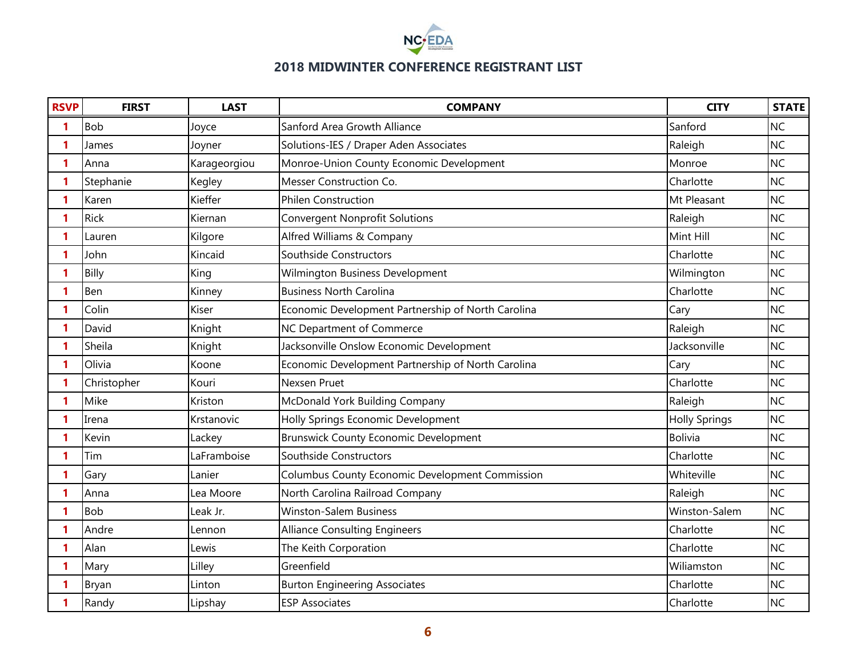

| <b>RSVP</b> | <b>FIRST</b> | <b>LAST</b>  | <b>COMPANY</b>                                     | <b>CITY</b>          | <b>STATE</b> |
|-------------|--------------|--------------|----------------------------------------------------|----------------------|--------------|
| 1           | <b>Bob</b>   | Joyce        | Sanford Area Growth Alliance                       | Sanford              | <b>NC</b>    |
| 1           | James        | Joyner       | Solutions-IES / Draper Aden Associates             | Raleigh              | <b>NC</b>    |
| 1           | Anna         | Karageorgiou | Monroe-Union County Economic Development           | Monroe               | <b>NC</b>    |
| 1           | Stephanie    | Kegley       | Messer Construction Co.                            | Charlotte            | <b>NC</b>    |
| 1           | Karen        | Kieffer      | <b>Philen Construction</b>                         | Mt Pleasant          | <b>NC</b>    |
| 1           | <b>Rick</b>  | Kiernan      | <b>Convergent Nonprofit Solutions</b>              | Raleigh              | <b>NC</b>    |
|             | Lauren       | Kilgore      | Alfred Williams & Company                          | Mint Hill            | <b>NC</b>    |
| 1           | John         | Kincaid      | Southside Constructors                             | Charlotte            | <b>NC</b>    |
| 1           | Billy        | King         | Wilmington Business Development                    | Wilmington           | <b>NC</b>    |
| 1           | Ben          | Kinney       | <b>Business North Carolina</b>                     | Charlotte            | <b>NC</b>    |
| 1           | Colin        | Kiser        | Economic Development Partnership of North Carolina | Cary                 | <b>NC</b>    |
| 1           | David        | Knight       | NC Department of Commerce                          | Raleigh              | <b>NC</b>    |
| 1           | Sheila       | Knight       | Jacksonville Onslow Economic Development           | Jacksonville         | <b>NC</b>    |
| 1           | Olivia       | Koone        | Economic Development Partnership of North Carolina | Cary                 | <b>NC</b>    |
| 1           | Christopher  | Kouri        | Nexsen Pruet                                       | Charlotte            | <b>NC</b>    |
| 1           | Mike         | Kriston      | McDonald York Building Company                     | Raleigh              | <b>NC</b>    |
| 1           | Irena        | Krstanovic   | Holly Springs Economic Development                 | <b>Holly Springs</b> | <b>NC</b>    |
| 1           | Kevin        | Lackey       | <b>Brunswick County Economic Development</b>       | <b>Bolivia</b>       | <b>NC</b>    |
| 1           | Tim          | LaFramboise  | Southside Constructors                             | Charlotte            | <b>NC</b>    |
| 1           | Gary         | Lanier       | Columbus County Economic Development Commission    | Whiteville           | <b>NC</b>    |
| 1           | Anna         | Lea Moore    | North Carolina Railroad Company                    | Raleigh              | <b>NC</b>    |
| 1           | <b>Bob</b>   | Leak Jr.     | <b>Winston-Salem Business</b>                      | Winston-Salem        | <b>NC</b>    |
| 1           | Andre        | Lennon       | <b>Alliance Consulting Engineers</b>               | Charlotte            | <b>NC</b>    |
| 1           | Alan         | Lewis        | The Keith Corporation                              | Charlotte            | <b>NC</b>    |
|             | Mary         | Lilley       | Greenfield                                         | Wiliamston           | <b>NC</b>    |
| 1           | Bryan        | Linton       | <b>Burton Engineering Associates</b>               | Charlotte            | <b>NC</b>    |
|             | Randy        | Lipshay      | <b>ESP Associates</b>                              | Charlotte            | <b>NC</b>    |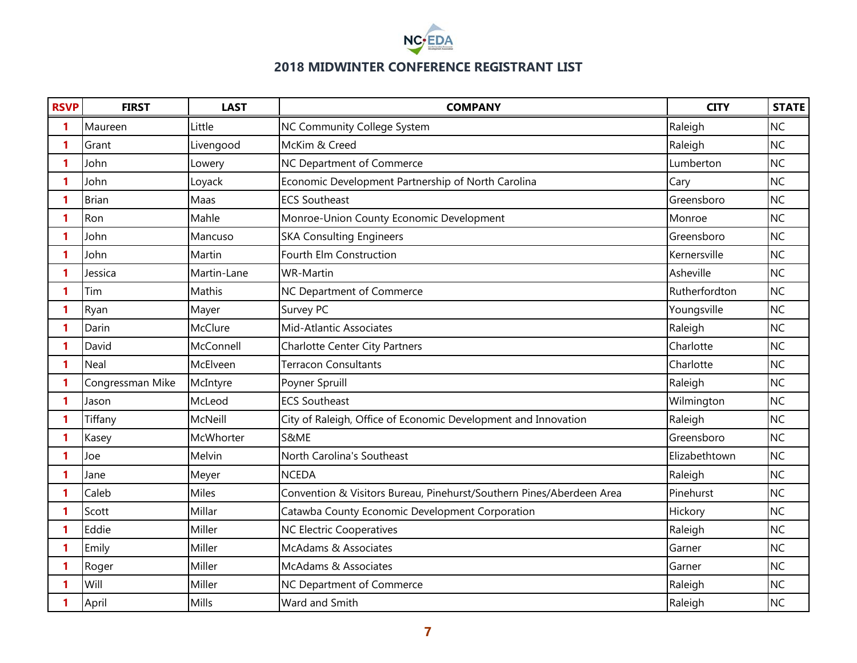

| <b>RSVP</b>  | <b>FIRST</b>     | <b>LAST</b>  | <b>COMPANY</b>                                                       | <b>CITY</b>   | <b>STATE</b> |
|--------------|------------------|--------------|----------------------------------------------------------------------|---------------|--------------|
| 1            | Maureen          | Little       | NC Community College System                                          | Raleigh       | <b>NC</b>    |
| 1            | Grant            | Livengood    | McKim & Creed                                                        | Raleigh       | <b>NC</b>    |
| 1            | John             | Lowery       | NC Department of Commerce                                            | Lumberton     | <b>NC</b>    |
| 1            | John             | Loyack       | Economic Development Partnership of North Carolina                   | Cary          | <b>NC</b>    |
| 1            | <b>Brian</b>     | Maas         | <b>ECS Southeast</b>                                                 | Greensboro    | <b>NC</b>    |
| 1            | Ron              | Mahle        | Monroe-Union County Economic Development                             | Monroe        | <b>NC</b>    |
| 1            | John             | Mancuso      | <b>SKA Consulting Engineers</b>                                      | Greensboro    | <b>NC</b>    |
| 1            | John             | Martin       | Fourth Elm Construction                                              | Kernersville  | <b>NC</b>    |
| 1            | Jessica          | Martin-Lane  | <b>WR-Martin</b>                                                     | Asheville     | <b>NC</b>    |
| 1            | Tim              | Mathis       | NC Department of Commerce                                            | Rutherfordton | <b>NC</b>    |
| 1            | Ryan             | Mayer        | Survey PC                                                            | Youngsville   | <b>NC</b>    |
| 1            | Darin            | McClure      | <b>Mid-Atlantic Associates</b>                                       | Raleigh       | <b>NC</b>    |
| 1            | David            | McConnell    | Charlotte Center City Partners                                       | Charlotte     | <b>NC</b>    |
| $\mathbf{1}$ | Neal             | McElveen     | <b>Terracon Consultants</b>                                          | Charlotte     | <b>NC</b>    |
| 1.           | Congressman Mike | McIntyre     | Poyner Spruill                                                       | Raleigh       | <b>NC</b>    |
| 1            | Jason            | McLeod       | <b>ECS Southeast</b>                                                 | Wilmington    | <b>NC</b>    |
| $\mathbf{1}$ | Tiffany          | McNeill      | City of Raleigh, Office of Economic Development and Innovation       | Raleigh       | <b>NC</b>    |
| 1            | Kasey            | McWhorter    | S&ME                                                                 | Greensboro    | <b>NC</b>    |
| 1            | Joe              | Melvin       | North Carolina's Southeast                                           | Elizabethtown | <b>NC</b>    |
| 1            | Jane             | Meyer        | <b>NCEDA</b>                                                         | Raleigh       | <b>NC</b>    |
| 1            | Caleb            | <b>Miles</b> | Convention & Visitors Bureau, Pinehurst/Southern Pines/Aberdeen Area | Pinehurst     | <b>NC</b>    |
| 1            | Scott            | Millar       | Catawba County Economic Development Corporation                      | Hickory       | <b>NC</b>    |
| 1            | Eddie            | Miller       | <b>NC Electric Cooperatives</b>                                      | Raleigh       | <b>NC</b>    |
| 1            | Emily            | Miller       | McAdams & Associates                                                 | Garner        | <b>NC</b>    |
| 1            | Roger            | Miller       | McAdams & Associates                                                 | Garner        | <b>NC</b>    |
| 1            | Will             | Miller       | NC Department of Commerce                                            | Raleigh       | <b>NC</b>    |
| 1            | April            | Mills        | Ward and Smith                                                       | Raleigh       | <b>NC</b>    |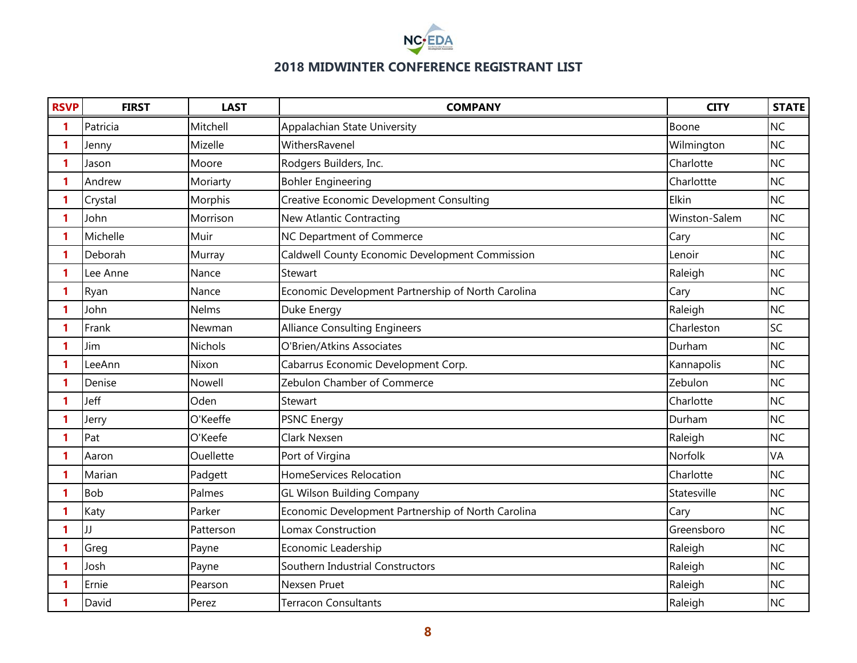

| <b>RSVP</b>  | <b>FIRST</b> | <b>LAST</b>    | <b>COMPANY</b>                                     | <b>CITY</b>   | <b>STATE</b> |
|--------------|--------------|----------------|----------------------------------------------------|---------------|--------------|
| 1            | Patricia     | Mitchell       | Appalachian State University                       | Boone         | <b>NC</b>    |
| 1            | Jenny        | Mizelle        | WithersRavenel                                     | Wilmington    | <b>NC</b>    |
| 1            | Jason        | Moore          | Rodgers Builders, Inc.                             | Charlotte     | <b>NC</b>    |
| 1            | Andrew       | Moriarty       | <b>Bohler Engineering</b>                          | Charlottte    | <b>NC</b>    |
| 1            | Crystal      | Morphis        | Creative Economic Development Consulting           | Elkin         | <b>NC</b>    |
| 1            | John         | Morrison       | New Atlantic Contracting                           | Winston-Salem | <b>NC</b>    |
| 1            | Michelle     | Muir           | NC Department of Commerce                          | Cary          | <b>NC</b>    |
| 1            | Deborah      | Murray         | Caldwell County Economic Development Commission    | Lenoir        | <b>NC</b>    |
| 1            | Lee Anne     | Nance          | Stewart                                            | Raleigh       | <b>NC</b>    |
| 1            | Ryan         | Nance          | Economic Development Partnership of North Carolina | Cary          | <b>NC</b>    |
| 1            | John         | <b>Nelms</b>   | Duke Energy                                        | Raleigh       | <b>NC</b>    |
| 1            | Frank        | Newman         | <b>Alliance Consulting Engineers</b>               | Charleston    | SC           |
| 1            | Jim          | <b>Nichols</b> | O'Brien/Atkins Associates                          | Durham        | <b>NC</b>    |
| 1            | LeeAnn       | Nixon          | Cabarrus Economic Development Corp.                | Kannapolis    | <b>NC</b>    |
| $\mathbf{1}$ | Denise       | Nowell         | Zebulon Chamber of Commerce                        | Zebulon       | <b>NC</b>    |
| 1            | Jeff         | Oden           | Stewart                                            | Charlotte     | <b>NC</b>    |
| $\mathbf{1}$ | Jerry        | O'Keeffe       | <b>PSNC Energy</b>                                 | Durham        | <b>NC</b>    |
| 1            | Pat          | O'Keefe        | Clark Nexsen                                       | Raleigh       | <b>NC</b>    |
| 1            | Aaron        | Ouellette      | Port of Virgina                                    | Norfolk       | VA           |
| 1            | Marian       | Padgett        | <b>HomeServices Relocation</b>                     | Charlotte     | <b>NC</b>    |
| 1.           | <b>Bob</b>   | Palmes         | <b>GL Wilson Building Company</b>                  | Statesville   | <b>NC</b>    |
| 1            | Katy         | Parker         | Economic Development Partnership of North Carolina | Cary          | <b>NC</b>    |
| 1            | JJ           | Patterson      | Lomax Construction                                 | Greensboro    | <b>NC</b>    |
| 1            | Greg         | Payne          | Economic Leadership                                | Raleigh       | <b>NC</b>    |
| 1            | Josh         | Payne          | Southern Industrial Constructors                   | Raleigh       | <b>NC</b>    |
| 1            | Ernie        | Pearson        | Nexsen Pruet                                       | Raleigh       | <b>NC</b>    |
| 1            | David        | Perez          | <b>Terracon Consultants</b>                        | Raleigh       | <b>NC</b>    |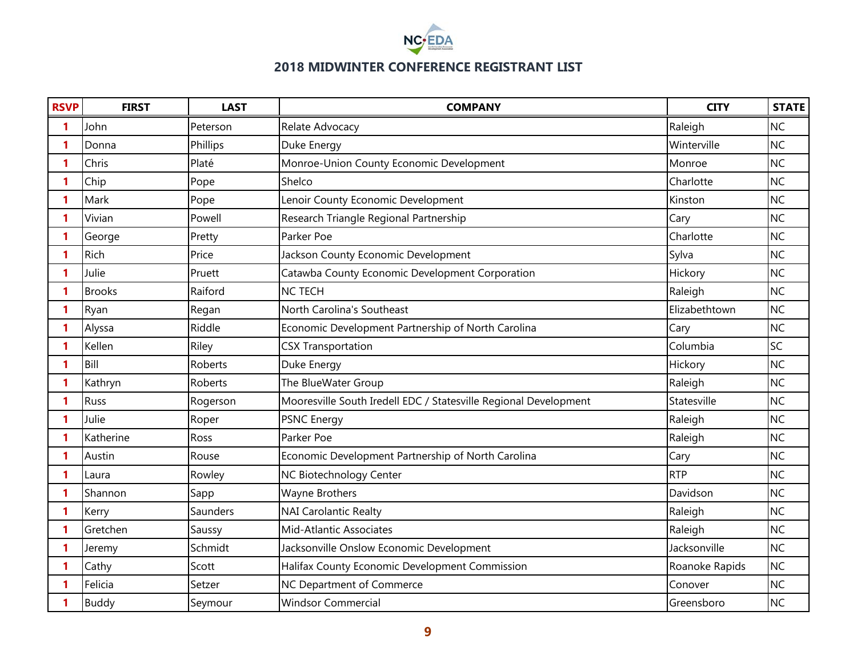

| <b>RSVP</b> | <b>FIRST</b>  | <b>LAST</b> | <b>COMPANY</b>                                                   | <b>CITY</b>    | <b>STATE</b> |
|-------------|---------------|-------------|------------------------------------------------------------------|----------------|--------------|
| 1           | John          | Peterson    | Relate Advocacy                                                  | Raleigh        | <b>NC</b>    |
| 1           | Donna         | Phillips    | Duke Energy                                                      | Winterville    | <b>NC</b>    |
| 1           | Chris         | Platé       | Monroe-Union County Economic Development                         | Monroe         | <b>NC</b>    |
| 1           | Chip          | Pope        | Shelco                                                           | Charlotte      | <b>NC</b>    |
| 1           | Mark          | Pope        | Lenoir County Economic Development                               | Kinston        | <b>NC</b>    |
| 1           | Vivian        | Powell      | Research Triangle Regional Partnership                           | Cary           | <b>NC</b>    |
| 1           | George        | Pretty      | Parker Poe                                                       | Charlotte      | <b>NC</b>    |
| 1           | Rich          | Price       | Jackson County Economic Development                              | Sylva          | <b>NC</b>    |
| 1           | Julie         | Pruett      | Catawba County Economic Development Corporation                  | Hickory        | <b>NC</b>    |
| 1           | <b>Brooks</b> | Raiford     | <b>NC TECH</b>                                                   | Raleigh        | <b>NC</b>    |
| 1           | Ryan          | Regan       | North Carolina's Southeast                                       | Elizabethtown  | <b>NC</b>    |
| 1           | Alyssa        | Riddle      | Economic Development Partnership of North Carolina               | Cary           | <b>NC</b>    |
| 1           | Kellen        | Riley       | <b>CSX Transportation</b>                                        | Columbia       | SC           |
| 1           | Bill          | Roberts     | Duke Energy                                                      | Hickory        | <b>NC</b>    |
| 1           | Kathryn       | Roberts     | The BlueWater Group                                              | Raleigh        | <b>NC</b>    |
| 1           | Russ          | Rogerson    | Mooresville South Iredell EDC / Statesville Regional Development | Statesville    | <b>NC</b>    |
| 1           | Julie         | Roper       | <b>PSNC Energy</b>                                               | Raleigh        | <b>NC</b>    |
| 1           | Katherine     | Ross        | Parker Poe                                                       | Raleigh        | <b>NC</b>    |
| 1           | Austin        | Rouse       | Economic Development Partnership of North Carolina               | Cary           | <b>NC</b>    |
| 1.          | Laura         | Rowley      | NC Biotechnology Center                                          | <b>RTP</b>     | <b>NC</b>    |
| 1           | Shannon       | Sapp        | Wayne Brothers                                                   | Davidson       | <b>NC</b>    |
| 1           | Kerry         | Saunders    | <b>NAI Carolantic Realty</b>                                     | Raleigh        | <b>NC</b>    |
| 1           | Gretchen      | Saussy      | Mid-Atlantic Associates                                          | Raleigh        | <b>NC</b>    |
| 1           | Jeremy        | Schmidt     | Jacksonville Onslow Economic Development                         | Jacksonville   | <b>NC</b>    |
| 1           | Cathy         | Scott       | Halifax County Economic Development Commission                   | Roanoke Rapids | <b>NC</b>    |
| 1           | Felicia       | Setzer      | NC Department of Commerce                                        | Conover        | <b>NC</b>    |
| 1           | <b>Buddy</b>  | Seymour     | <b>Windsor Commercial</b>                                        | Greensboro     | <b>NC</b>    |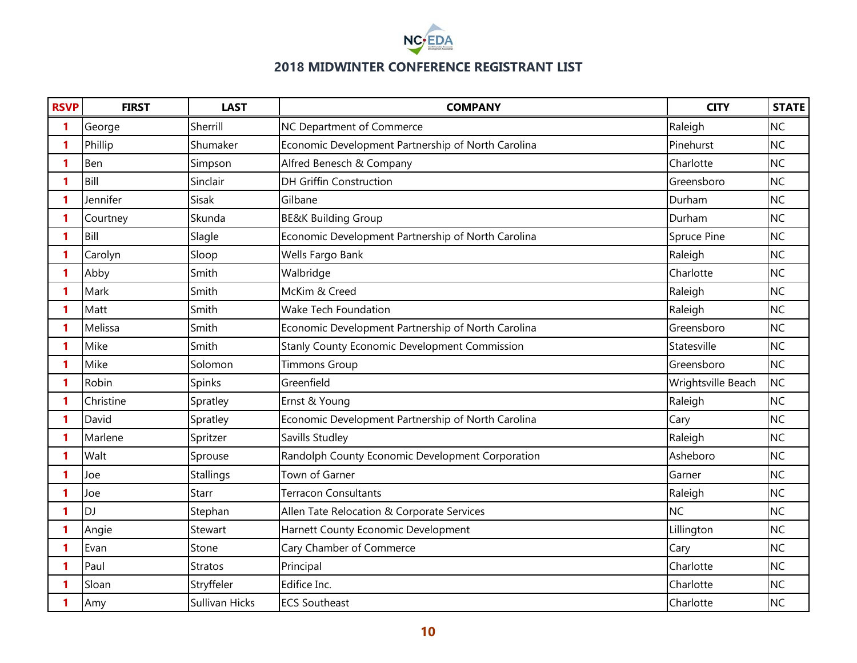

| <b>RSVP</b>  | <b>FIRST</b> | <b>LAST</b>    | <b>COMPANY</b>                                     | <b>CITY</b>        | <b>STATE</b> |
|--------------|--------------|----------------|----------------------------------------------------|--------------------|--------------|
| 1            | George       | Sherrill       | NC Department of Commerce                          | Raleigh            | <b>NC</b>    |
| 1            | Phillip      | Shumaker       | Economic Development Partnership of North Carolina | Pinehurst          | <b>NC</b>    |
| 1            | Ben          | Simpson        | Alfred Benesch & Company                           | Charlotte          | <b>NC</b>    |
| 1            | Bill         | Sinclair       | <b>DH Griffin Construction</b>                     | Greensboro         | <b>NC</b>    |
| 1            | Jennifer     | Sisak          | Gilbane                                            | Durham             | <b>NC</b>    |
| 1            | Courtney     | Skunda         | <b>BE&amp;K Building Group</b>                     | Durham             | <b>NC</b>    |
| 1            | Bill         | Slagle         | Economic Development Partnership of North Carolina | Spruce Pine        | <b>NC</b>    |
| 1            | Carolyn      | Sloop          | Wells Fargo Bank                                   | Raleigh            | <b>NC</b>    |
| 1            | Abby         | Smith          | Walbridge                                          | Charlotte          | <b>NC</b>    |
| 1            | Mark         | Smith          | McKim & Creed                                      | Raleigh            | <b>NC</b>    |
| 1            | Matt         | Smith          | <b>Wake Tech Foundation</b>                        | Raleigh            | <b>NC</b>    |
| 1            | Melissa      | Smith          | Economic Development Partnership of North Carolina | Greensboro         | <b>NC</b>    |
| 1            | Mike         | Smith          | Stanly County Economic Development Commission      | Statesville        | <b>NC</b>    |
| 1            | Mike         | Solomon        | <b>Timmons Group</b>                               | Greensboro         | <b>NC</b>    |
| 1            | Robin        | Spinks         | Greenfield                                         | Wrightsville Beach | <b>NC</b>    |
| 1            | Christine    | Spratley       | Ernst & Young                                      | Raleigh            | <b>NC</b>    |
| $\mathbf{1}$ | David        | Spratley       | Economic Development Partnership of North Carolina | Cary               | <b>NC</b>    |
| 1.           | Marlene      | Spritzer       | Savills Studley                                    | Raleigh            | <b>NC</b>    |
| 1            | Walt         | Sprouse        | Randolph County Economic Development Corporation   | Asheboro           | <b>NC</b>    |
| 1            | Joe          | Stallings      | Town of Garner                                     | Garner             | <b>NC</b>    |
| $\mathbf{1}$ | Joe          | Starr          | <b>Terracon Consultants</b>                        | Raleigh            | <b>NC</b>    |
| 1            | <b>DJ</b>    | Stephan        | Allen Tate Relocation & Corporate Services         | <b>NC</b>          | <b>NC</b>    |
| $\mathbf{1}$ | Angie        | Stewart        | Harnett County Economic Development                | Lillington         | <b>NC</b>    |
| 1            | Evan         | Stone          | Cary Chamber of Commerce                           | Cary               | <b>NC</b>    |
| 1            | Paul         | <b>Stratos</b> | Principal                                          | Charlotte          | <b>NC</b>    |
| 1            | Sloan        | Stryffeler     | Edifice Inc.                                       | Charlotte          | <b>NC</b>    |
| 1            | Amy          | Sullivan Hicks | <b>ECS Southeast</b>                               | Charlotte          | <b>NC</b>    |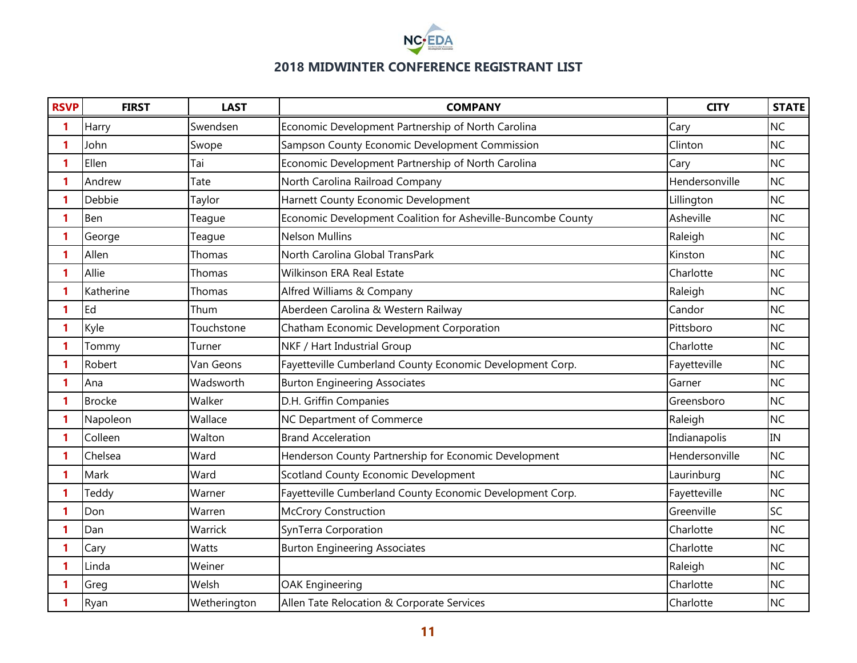

| <b>RSVP</b>  | <b>FIRST</b>  | <b>LAST</b>  | <b>COMPANY</b>                                               | <b>CITY</b>    | <b>STATE</b> |
|--------------|---------------|--------------|--------------------------------------------------------------|----------------|--------------|
| 1            | Harry         | Swendsen     | Economic Development Partnership of North Carolina           | Cary           | <b>NC</b>    |
| 1            | John          | Swope        | Sampson County Economic Development Commission               | Clinton        | <b>NC</b>    |
| 1            | Ellen         | Tai          | Economic Development Partnership of North Carolina           | Cary           | <b>NC</b>    |
| 1            | Andrew        | Tate         | North Carolina Railroad Company                              | Hendersonville | <b>NC</b>    |
| 1            | Debbie        | Taylor       | Harnett County Economic Development                          | Lillington     | <b>NC</b>    |
| 1            | Ben           | Teague       | Economic Development Coalition for Asheville-Buncombe County | Asheville      | <b>NC</b>    |
| 1            | George        | Teague       | <b>Nelson Mullins</b>                                        | Raleigh        | <b>NC</b>    |
| 1            | Allen         | Thomas       | North Carolina Global TransPark                              | Kinston        | <b>NC</b>    |
| 1            | Allie         | Thomas       | <b>Wilkinson ERA Real Estate</b>                             | Charlotte      | <b>NC</b>    |
| 1            | Katherine     | Thomas       | Alfred Williams & Company                                    | Raleigh        | <b>NC</b>    |
| 1            | Ed            | Thum         | Aberdeen Carolina & Western Railway                          | Candor         | <b>NC</b>    |
| 1            | Kyle          | Touchstone   | Chatham Economic Development Corporation                     | Pittsboro      | <b>NC</b>    |
| 1            | Tommy         | Turner       | NKF / Hart Industrial Group                                  | Charlotte      | <b>NC</b>    |
| 1            | Robert        | Van Geons    | Fayetteville Cumberland County Economic Development Corp.    | Fayetteville   | <b>NC</b>    |
| 1            | Ana           | Wadsworth    | <b>Burton Engineering Associates</b>                         | Garner         | <b>NC</b>    |
| 1            | <b>Brocke</b> | Walker       | D.H. Griffin Companies                                       | Greensboro     | <b>NC</b>    |
| $\mathbf{1}$ | Napoleon      | Wallace      | NC Department of Commerce                                    | Raleigh        | <b>NC</b>    |
| 1.           | Colleen       | Walton       | <b>Brand Acceleration</b>                                    | Indianapolis   | <b>IN</b>    |
| 1            | Chelsea       | Ward         | Henderson County Partnership for Economic Development        | Hendersonville | <b>NC</b>    |
| $\mathbf{1}$ | Mark          | Ward         | Scotland County Economic Development                         | Laurinburg     | <b>NC</b>    |
| 1.           | Teddy         | Warner       | Fayetteville Cumberland County Economic Development Corp.    | Fayetteville   | <b>NC</b>    |
| 1            | Don           | Warren       | <b>McCrory Construction</b>                                  | Greenville     | SC           |
| 1            | Dan           | Warrick      | SynTerra Corporation                                         | Charlotte      | <b>NC</b>    |
| 1            | Cary          | Watts        | <b>Burton Engineering Associates</b>                         | Charlotte      | <b>NC</b>    |
| 1            | Linda         | Weiner       |                                                              | Raleigh        | <b>NC</b>    |
| 1            | Greg          | Welsh        | <b>OAK Engineering</b>                                       | Charlotte      | <b>NC</b>    |
| 1            | Ryan          | Wetherington | Allen Tate Relocation & Corporate Services                   | Charlotte      | <b>NC</b>    |